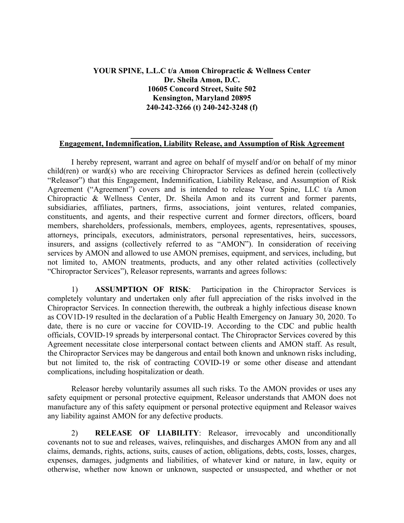## **YOUR SPINE, L.L.C t/a Amon Chiropractic & Wellness Center Dr. Sheila Amon, D.C. 10605 Concord Street, Suite 502 Kensington, Maryland 20895 240-242-3266 (t) 240-242-3248 (f)**

## **Engagement, Indemnification, Liability Release, and Assumption of Risk Agreement**

I hereby represent, warrant and agree on behalf of myself and/or on behalf of my minor child(ren) or ward(s) who are receiving Chiropractor Services as defined herein (collectively "Releasor") that this Engagement, Indemnification, Liability Release, and Assumption of Risk Agreement ("Agreement") covers and is intended to release Your Spine, LLC t/a Amon Chiropractic & Wellness Center, Dr. Sheila Amon and its current and former parents, subsidiaries, affiliates, partners, firms, associations, joint ventures, related companies, constituents, and agents, and their respective current and former directors, officers, board members, shareholders, professionals, members, employees, agents, representatives, spouses, attorneys, principals, executors, administrators, personal representatives, heirs, successors, insurers, and assigns (collectively referred to as "AMON"). In consideration of receiving services by AMON and allowed to use AMON premises, equipment, and services, including, but not limited to, AMON treatments, products, and any other related activities (collectively "Chiropractor Services"), Releasor represents, warrants and agrees follows:

1) **ASSUMPTION OF RISK**: Participation in the Chiropractor Services is completely voluntary and undertaken only after full appreciation of the risks involved in the Chiropractor Services. In connection therewith, the outbreak a highly infectious disease known as COV1D-19 resulted in the declaration of a Public Health Emergency on January 30, 2020. To date, there is no cure or vaccine for COVID-19. According to the CDC and public health officials, COVID-19 spreads by interpersonal contact. The Chiropractor Services covered by this Agreement necessitate close interpersonal contact between clients and AMON staff. As result, the Chiropractor Services may be dangerous and entail both known and unknown risks including, but not limited to, the risk of contracting COVID-19 or some other disease and attendant complications, including hospitalization or death.

Releasor hereby voluntarily assumes all such risks. To the AMON provides or uses any safety equipment or personal protective equipment, Releasor understands that AMON does not manufacture any of this safety equipment or personal protective equipment and Releasor waives any liability against AMON for any defective products.

2) **RELEASE OF LIABILITY**: Releasor, irrevocably and unconditionally covenants not to sue and releases, waives, relinquishes, and discharges AMON from any and all claims, demands, rights, actions, suits, causes of action, obligations, debts, costs, losses, charges, expenses, damages, judgments and liabilities, of whatever kind or nature, in law, equity or otherwise, whether now known or unknown, suspected or unsuspected, and whether or not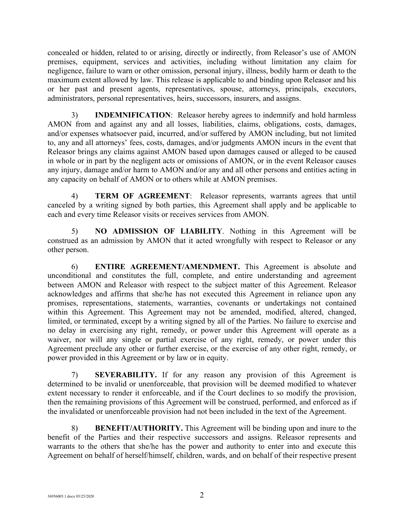concealed or hidden, related to or arising, directly or indirectly, from Releasor's use of AMON premises, equipment, services and activities, including without limitation any claim for negligence, failure to warn or other omission, personal injury, illness, bodily harm or death to the maximum extent allowed by law. This release is applicable to and binding upon Releasor and his or her past and present agents, representatives, spouse, attorneys, principals, executors, administrators, personal representatives, heirs, successors, insurers, and assigns.

3) **INDEMNIFICATION**: Releasor hereby agrees to indemnify and hold harmless AMON from and against any and all losses, liabilities, claims, obligations, costs, damages, and/or expenses whatsoever paid, incurred, and/or suffered by AMON including, but not limited to, any and all attorneys' fees, costs, damages, and/or judgments AMON incurs in the event that Releasor brings any claims against AMON based upon damages caused or alleged to be caused in whole or in part by the negligent acts or omissions of AMON, or in the event Releasor causes any injury, damage and/or harm to AMON and/or any and all other persons and entities acting in any capacity on behalf of AMON or to others while at AMON premises.

4) **TERM OF AGREEMENT**: Releasor represents, warrants agrees that until canceled by a writing signed by both parties, this Agreement shall apply and be applicable to each and every time Releasor visits or receives services from AMON.

5) **NO ADMISSION OF LIABILITY**. Nothing in this Agreement will be construed as an admission by AMON that it acted wrongfully with respect to Releasor or any other person.

6) **ENTIRE AGREEMENT/AMENDMENT.** This Agreement is absolute and unconditional and constitutes the full, complete, and entire understanding and agreement between AMON and Releasor with respect to the subject matter of this Agreement. Releasor acknowledges and affirms that she/he has not executed this Agreement in reliance upon any promises, representations, statements, warranties, covenants or undertakings not contained within this Agreement. This Agreement may not be amended, modified, altered, changed, limited, or terminated, except by a writing signed by all of the Parties. No failure to exercise and no delay in exercising any right, remedy, or power under this Agreement will operate as a waiver, nor will any single or partial exercise of any right, remedy, or power under this Agreement preclude any other or further exercise, or the exercise of any other right, remedy, or power provided in this Agreement or by law or in equity.

7) **SEVERABILITY.** If for any reason any provision of this Agreement is determined to be invalid or unenforceable, that provision will be deemed modified to whatever extent necessary to render it enforceable, and if the Court declines to so modify the provision, then the remaining provisions of this Agreement will be construed, performed, and enforced as if the invalidated or unenforceable provision had not been included in the text of the Agreement.

8) **BENEFIT/AUTHORITY.** This Agreement will be binding upon and inure to the benefit of the Parties and their respective successors and assigns. Releasor represents and warrants to the others that she/he has the power and authority to enter into and execute this Agreement on behalf of herself/himself, children, wards, and on behalf of their respective present